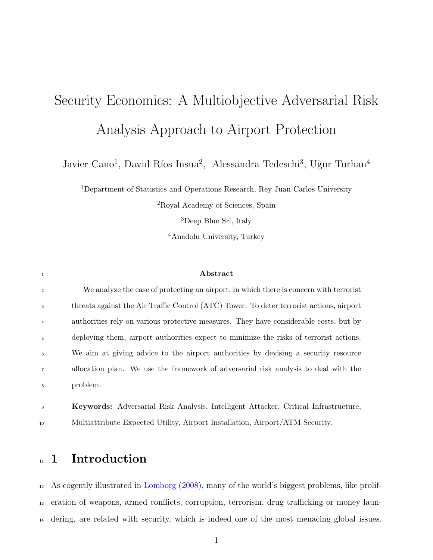# Security Economics: A Multiobjective Adversarial Risk Analysis Approach to Airport Protection

Javier Cano<sup>1</sup>, David Ríos Insua<sup>2</sup>, Alessandra Tedeschi<sup>3</sup>, Uğur Turhan<sup>4</sup>

Department of Statistics and Operations Research, Rey Juan Carlos University Royal Academy of Sciences, Spain

Deep Blue Srl, Italy

Anadolu University, Turkey

#### <sup>1</sup> Abstract

| $\overline{2}$ | We analyze the case of protecting an airport, in which there is concerned with terrorist |
|----------------|------------------------------------------------------------------------------------------|
| $\overline{3}$ | threats against the Air Traffic Control (ATC) Tower. To deter terrorist actions, airport |
| $\overline{4}$ | authorities rely on various protective measures. They have considerable costs, but by    |
| 5              | deploying them, airport authorities expect to minimize the risks of terrorist actions.   |
| 6              | We aim at giving advice to the airport authorities by devising a security resource       |
| $\overline{7}$ | allocation plan. We use the framework of adversarial risk analysis to deal with the      |
| 8              | problem.                                                                                 |

 Keywords: Adversarial Risk Analysis, Intelligent Attacker, Critical Infrastructure, Multiattribute Expected Utility, Airport Installation, Airport/ATM Security.

# <sup>11</sup> 1 Introduction

 As cogently illustrated in [Lomborg](#page-31-0) [\(2008\)](#page-31-0), many of the world's biggest problems, like prolif- eration of weapons, armed conflicts, corruption, terrorism, drug trafficking or money laun-dering, are related with security, which is indeed one of the most menacing global issues.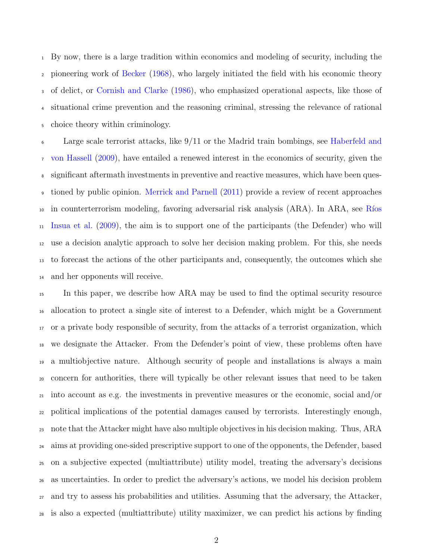By now, there is a large tradition within economics and modeling of security, including the pioneering work of [Becker](#page-30-0) [\(1968\)](#page-30-0), who largely initiated the field with his economic theory of delict, or [Cornish and Clarke](#page-30-1) [\(1986\)](#page-30-1), who emphasized operational aspects, like those of situational crime prevention and the reasoning criminal, stressing the relevance of rational choice theory within criminology.

 Large scale terrorist attacks, like 9/11 or the Madrid train bombings, see [Haberfeld and](#page-30-2) [von Hassell](#page-30-2) [\(2009\)](#page-30-2), have entailed a renewed interest in the economics of security, given the significant aftermath investments in preventive and reactive measures, which have been ques- tioned by public opinion. [Merrick and Parnell](#page-31-1) [\(2011\)](#page-31-1) provide a review of recent approaches <sup>10</sup> [i](#page-31-2)n counterterrorism modeling, favoring adversarial risk analysis (ARA). In ARA, see Ríos [Insua et al.](#page-31-2) [\(2009\)](#page-31-2), the aim is to support one of the participants (the Defender) who will use a decision analytic approach to solve her decision making problem. For this, she needs to forecast the actions of the other participants and, consequently, the outcomes which she and her opponents will receive.

 In this paper, we describe how ARA may be used to find the optimal security resource allocation to protect a single site of interest to a Defender, which might be a Government or a private body responsible of security, from the attacks of a terrorist organization, which we designate the Attacker. From the Defender's point of view, these problems often have a multiobjective nature. Although security of people and installations is always a main concern for authorities, there will typically be other relevant issues that need to be taken into account as e.g. the investments in preventive measures or the economic, social and/or political implications of the potential damages caused by terrorists. Interestingly enough, note that the Attacker might have also multiple objectives in his decision making. Thus, ARA aims at providing one-sided prescriptive support to one of the opponents, the Defender, based on a subjective expected (multiattribute) utility model, treating the adversary's decisions as uncertainties. In order to predict the adversary's actions, we model his decision problem and try to assess his probabilities and utilities. Assuming that the adversary, the Attacker, is also a expected (multiattribute) utility maximizer, we can predict his actions by finding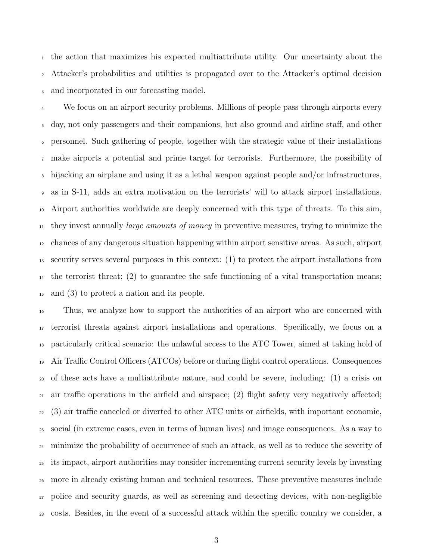the action that maximizes his expected multiattribute utility. Our uncertainty about the Attacker's probabilities and utilities is propagated over to the Attacker's optimal decision and incorporated in our forecasting model.

<sup>4</sup> We focus on an airport security problems. Millions of people pass through airports every day, not only passengers and their companions, but also ground and airline staff, and other personnel. Such gathering of people, together with the strategic value of their installations make airports a potential and prime target for terrorists. Furthermore, the possibility of hijacking an airplane and using it as a lethal weapon against people and/or infrastructures, as in S-11, adds an extra motivation on the terrorists' will to attack airport installations. Airport authorities worldwide are deeply concerned with this type of threats. To this aim, <sup>11</sup> they invest annually *large amounts of money* in preventive measures, trying to minimize the chances of any dangerous situation happening within airport sensitive areas. As such, airport security serves several purposes in this context: (1) to protect the airport installations from  $_{14}$  the terrorist threat; (2) to guarantee the safe functioning of a vital transportation means; and (3) to protect a nation and its people.

 Thus, we analyze how to support the authorities of an airport who are concerned with terrorist threats against airport installations and operations. Specifically, we focus on a particularly critical scenario: the unlawful access to the ATC Tower, aimed at taking hold of Air Traffic Control Officers (ATCOs) before or during flight control operations. Consequences of these acts have a multiattribute nature, and could be severe, including: (1) a crisis on air traffic operations in the airfield and airspace; (2) flight safety very negatively affected; (3) air traffic canceled or diverted to other ATC units or airfields, with important economic, social (in extreme cases, even in terms of human lives) and image consequences. As a way to minimize the probability of occurrence of such an attack, as well as to reduce the severity of its impact, airport authorities may consider incrementing current security levels by investing more in already existing human and technical resources. These preventive measures include police and security guards, as well as screening and detecting devices, with non-negligible costs. Besides, in the event of a successful attack within the specific country we consider, a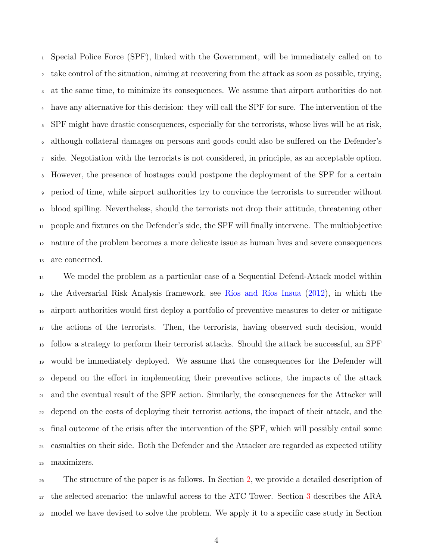Special Police Force (SPF), linked with the Government, will be immediately called on to take control of the situation, aiming at recovering from the attack as soon as possible, trying, at the same time, to minimize its consequences. We assume that airport authorities do not have any alternative for this decision: they will call the SPF for sure. The intervention of the SPF might have drastic consequences, especially for the terrorists, whose lives will be at risk, although collateral damages on persons and goods could also be suffered on the Defender's side. Negotiation with the terrorists is not considered, in principle, as an acceptable option. However, the presence of hostages could postpone the deployment of the SPF for a certain period of time, while airport authorities try to convince the terrorists to surrender without blood spilling. Nevertheless, should the terrorists not drop their attitude, threatening other people and fixtures on the Defender's side, the SPF will finally intervene. The multiobjective nature of the problem becomes a more delicate issue as human lives and severe consequences are concerned.

 We model the problem as a particular case of a Sequential Defend-Attack model within the Adversarial Risk Analysis framework, see [R´ıos and R´ıos Insua](#page-31-3) [\(2012\)](#page-31-3), in which the airport authorities would first deploy a portfolio of preventive measures to deter or mitigate the actions of the terrorists. Then, the terrorists, having observed such decision, would follow a strategy to perform their terrorist attacks. Should the attack be successful, an SPF would be immediately deployed. We assume that the consequences for the Defender will depend on the effort in implementing their preventive actions, the impacts of the attack and the eventual result of the SPF action. Similarly, the consequences for the Attacker will depend on the costs of deploying their terrorist actions, the impact of their attack, and the final outcome of the crisis after the intervention of the SPF, which will possibly entail some casualties on their side. Both the Defender and the Attacker are regarded as expected utility maximizers.

 The structure of the paper is as follows. In Section [2,](#page-4-0) we provide a detailed description of the selected scenario: the unlawful access to the ATC Tower. Section [3](#page-6-0) describes the ARA model we have devised to solve the problem. We apply it to a specific case study in Section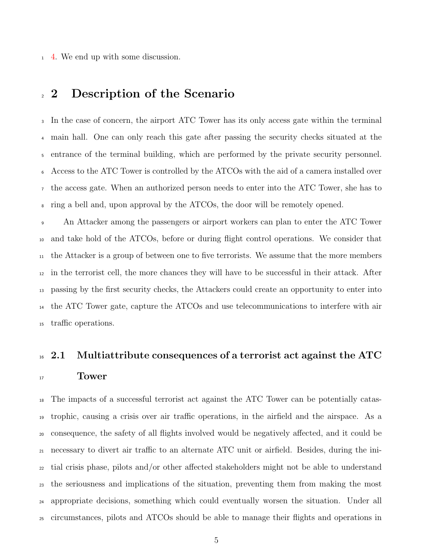[4.](#page-19-0) We end up with some discussion.

### <span id="page-4-0"></span>2 Description of the Scenario

 In the case of concern, the airport ATC Tower has its only access gate within the terminal main hall. One can only reach this gate after passing the security checks situated at the entrance of the terminal building, which are performed by the private security personnel. Access to the ATC Tower is controlled by the ATCOs with the aid of a camera installed over the access gate. When an authorized person needs to enter into the ATC Tower, she has to ring a bell and, upon approval by the ATCOs, the door will be remotely opened.

 An Attacker among the passengers or airport workers can plan to enter the ATC Tower and take hold of the ATCOs, before or during flight control operations. We consider that the Attacker is a group of between one to five terrorists. We assume that the more members in the terrorist cell, the more chances they will have to be successful in their attack. After passing by the first security checks, the Attackers could create an opportunity to enter into the ATC Tower gate, capture the ATCOs and use telecommunications to interfere with air traffic operations.

# $16\,$  2.1 Multiattribute consequences of a terrorist act against the ATC

#### <sup>17</sup> Tower

 The impacts of a successful terrorist act against the ATC Tower can be potentially catas- trophic, causing a crisis over air traffic operations, in the airfield and the airspace. As a consequence, the safety of all flights involved would be negatively affected, and it could be necessary to divert air traffic to an alternate ATC unit or airfield. Besides, during the ini- tial crisis phase, pilots and/or other affected stakeholders might not be able to understand the seriousness and implications of the situation, preventing them from making the most appropriate decisions, something which could eventually worsen the situation. Under all circumstances, pilots and ATCOs should be able to manage their flights and operations in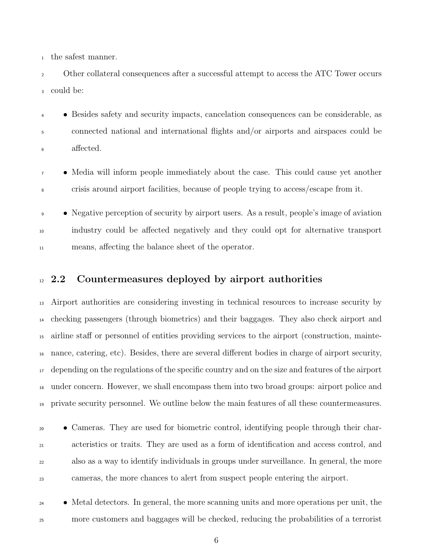the safest manner.

 Other collateral consequences after a successful attempt to access the ATC Tower occurs could be:

 • Besides safety and security impacts, cancelation consequences can be considerable, as connected national and international flights and/or airports and airspaces could be affected.

 • Media will inform people immediately about the case. This could cause yet another crisis around airport facilities, because of people trying to access/escape from it.

• Negative perception of security by airport users. As a result, people's image of aviation industry could be affected negatively and they could opt for alternative transport means, affecting the balance sheet of the operator.

#### <sup>12</sup> 2.2 Countermeasures deployed by airport authorities

 Airport authorities are considering investing in technical resources to increase security by checking passengers (through biometrics) and their baggages. They also check airport and airline staff or personnel of entities providing services to the airport (construction, mainte- nance, catering, etc). Besides, there are several different bodies in charge of airport security, depending on the regulations of the specific country and on the size and features of the airport under concern. However, we shall encompass them into two broad groups: airport police and private security personnel. We outline below the main features of all these countermeasures.

 • Cameras. They are used for biometric control, identifying people through their char- acteristics or traits. They are used as a form of identification and access control, and also as a way to identify individuals in groups under surveillance. In general, the more cameras, the more chances to alert from suspect people entering the airport.

 • Metal detectors. In general, the more scanning units and more operations per unit, the more customers and baggages will be checked, reducing the probabilities of a terrorist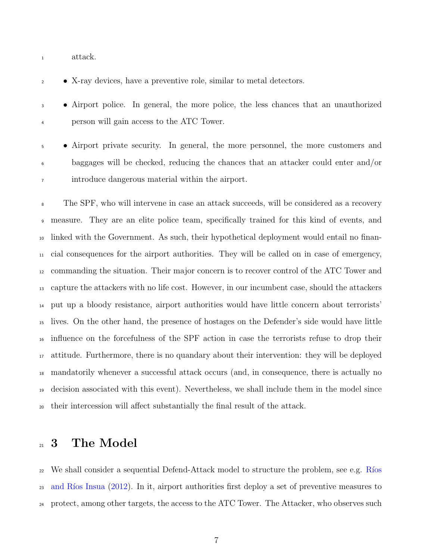attack.

• X-ray devices, have a preventive role, similar to metal detectors.

 • Airport police. In general, the more police, the less chances that an unauthorized person will gain access to the ATC Tower.

 • Airport private security. In general, the more personnel, the more customers and baggages will be checked, reducing the chances that an attacker could enter and/or introduce dangerous material within the airport.

 The SPF, who will intervene in case an attack succeeds, will be considered as a recovery measure. They are an elite police team, specifically trained for this kind of events, and linked with the Government. As such, their hypothetical deployment would entail no finan- cial consequences for the airport authorities. They will be called on in case of emergency, commanding the situation. Their major concern is to recover control of the ATC Tower and capture the attackers with no life cost. However, in our incumbent case, should the attackers put up a bloody resistance, airport authorities would have little concern about terrorists' lives. On the other hand, the presence of hostages on the Defender's side would have little influence on the forcefulness of the SPF action in case the terrorists refuse to drop their attitude. Furthermore, there is no quandary about their intervention: they will be deployed mandatorily whenever a successful attack occurs (and, in consequence, there is actually no decision associated with this event). Nevertheless, we shall include them in the model since their intercession will affect substantially the final result of the attack.

# <span id="page-6-0"></span>21 3 The Model

 [W](#page-31-3)e shall consider a sequential Defend-Attack model to structure the problem, see e.g. Ríos <sup>23</sup> and Ríos Insua [\(2012\)](#page-31-3). In it, airport authorities first deploy a set of preventive measures to protect, among other targets, the access to the ATC Tower. The Attacker, who observes such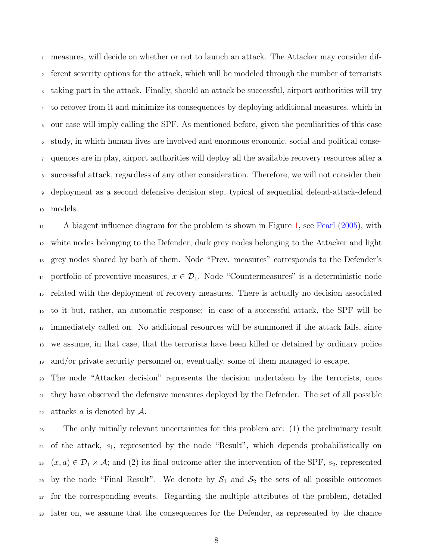measures, will decide on whether or not to launch an attack. The Attacker may consider dif- ferent severity options for the attack, which will be modeled through the number of terrorists taking part in the attack. Finally, should an attack be successful, airport authorities will try to recover from it and minimize its consequences by deploying additional measures, which in our case will imply calling the SPF. As mentioned before, given the peculiarities of this case study, in which human lives are involved and enormous economic, social and political conse- quences are in play, airport authorities will deploy all the available recovery resources after a successful attack, regardless of any other consideration. Therefore, we will not consider their deployment as a second defensive decision step, typical of sequential defend-attack-defend models.

 A biagent influence diagram for the problem is shown in Figure [1,](#page-8-0) see [Pearl](#page-31-4) [\(2005\)](#page-31-4), with white nodes belonging to the Defender, dark grey nodes belonging to the Attacker and light grey nodes shared by both of them. Node "Prev. measures" corresponds to the Defender's 14 portfolio of preventive measures,  $x \in \mathcal{D}_1$ . Node "Countermeasures" is a deterministic node related with the deployment of recovery measures. There is actually no decision associated to it but, rather, an automatic response: in case of a successful attack, the SPF will be immediately called on. No additional resources will be summoned if the attack fails, since we assume, in that case, that the terrorists have been killed or detained by ordinary police and/or private security personnel or, eventually, some of them managed to escape.

 The node "Attacker decision" represents the decision undertaken by the terrorists, once they have observed the defensive measures deployed by the Defender. The set of all possible 22 attacks a is denoted by  $\mathcal{A}$ .

 The only initially relevant uncertainties for this problem are: (1) the preliminary result  $_{24}$  of the attack,  $s_1$ , represented by the node "Result", which depends probabilistically on <sup>25</sup>  $(x, a) \in \mathcal{D}_1 \times \mathcal{A}$ ; and (2) its final outcome after the intervention of the SPF,  $s_2$ , represented 26 by the node "Final Result". We denote by  $S_1$  and  $S_2$  the sets of all possible outcomes for the corresponding events. Regarding the multiple attributes of the problem, detailed later on, we assume that the consequences for the Defender, as represented by the chance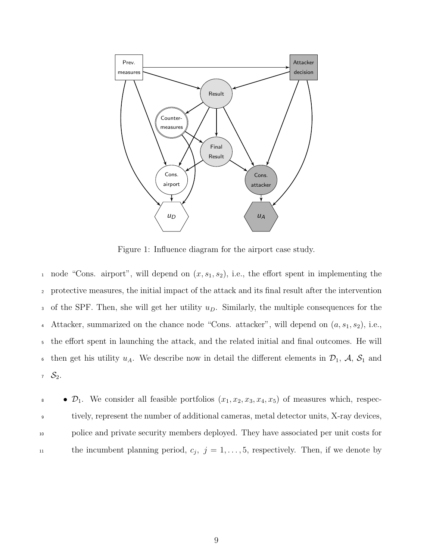

<span id="page-8-0"></span>Figure 1: Influence diagram for the airport case study.

1 node "Cons. airport", will depend on  $(x, s_1, s_2)$ , i.e., the effort spent in implementing the <sup>2</sup> protective measures, the initial impact of the attack and its final result after the intervention 3 of the SPF. Then, she will get her utility  $u_D$ . Similarly, the multiple consequences for the 4 Attacker, summarized on the chance node "Cons. attacker", will depend on  $(a, s_1, s_2)$ , i.e., <sup>5</sup> the effort spent in launching the attack, and the related initial and final outcomes. He will 6 then get his utility  $u_A$ . We describe now in detail the different elements in  $\mathcal{D}_1$ ,  $\mathcal{A}$ ,  $\mathcal{S}_1$  and  $7 S_2$ .

 $\bullet$   $\mathcal{D}_1$ . We consider all feasible portfolios  $(x_1, x_2, x_3, x_4, x_5)$  of measures which, respec-<sup>9</sup> tively, represent the number of additional cameras, metal detector units, X-ray devices, <sup>10</sup> police and private security members deployed. They have associated per unit costs for the incumbent planning period,  $c_j$ ,  $j = 1, \ldots, 5$ , respectively. Then, if we denote by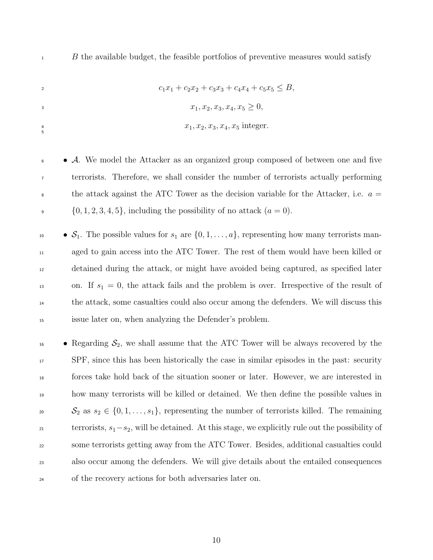2 c<sub>1</sub>x<sub>1</sub> + c<sub>2</sub>x<sub>2</sub> + c<sub>3</sub>x<sub>3</sub> + c<sub>4</sub>x<sub>4</sub> + c<sub>5</sub>x<sub>5</sub> < B,  $x_1, x_2, x_3, x_4, x_5 \geq 0,$  $x_1, x_2, x_3, x_4, x_5$  integer.  $\frac{4}{5}$ 

<sup>6</sup> • A. We model the Attacker as an organized group composed of between one and five <sup>7</sup> terrorists. Therefore, we shall consider the number of terrorists actually performing  $\epsilon$  the attack against the ATC Tower as the decision variable for the Attacker, i.e.  $a =$  $\{0, 1, 2, 3, 4, 5\}$ , including the possibility of no attack  $(a = 0)$ .

 $\bullet$   $S_1$ . The possible values for  $s_1$  are  $\{0, 1, \ldots, a\}$ , representing how many terrorists man- aged to gain access into the ATC Tower. The rest of them would have been killed or detained during the attack, or might have avoided being captured, as specified later 13 on. If  $s_1 = 0$ , the attack fails and the problem is over. Irrespective of the result of the attack, some casualties could also occur among the defenders. We will discuss this issue later on, when analyzing the Defender's problem.

 $\bullet$  Regarding  $\mathcal{S}_2$ , we shall assume that the ATC Tower will be always recovered by the SPF, since this has been historically the case in similar episodes in the past: security forces take hold back of the situation sooner or later. However, we are interested in how many terrorists will be killed or detained. We then define the possible values in  $S_2$  as  $s_2 \in \{0, 1, \ldots, s_1\}$ , representing the number of terrorists killed. The remaining terrorists,  $s_1-s_2$ , will be detained. At this stage, we explicitly rule out the possibility of some terrorists getting away from the ATC Tower. Besides, additional casualties could also occur among the defenders. We will give details about the entailed consequences of the recovery actions for both adversaries later on.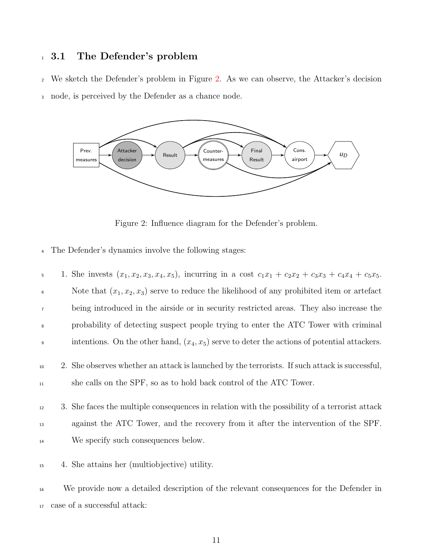# <sup>1</sup> 3.1 The Defender's problem

<sup>2</sup> We sketch the Defender's problem in Figure [2.](#page-10-0) As we can observe, the Attacker's decision <sup>3</sup> node, is perceived by the Defender as a chance node.



<span id="page-10-0"></span>Figure 2: Influence diagram for the Defender's problem.

<sup>4</sup> The Defender's dynamics involve the following stages:

| 5              | 1. She invests $(x_1, x_2, x_3, x_4, x_5)$ , incurring in a cost $c_1x_1 + c_2x_2 + c_3x_3 + c_4x_4 + c_5x_5$ .                                                                     |
|----------------|-------------------------------------------------------------------------------------------------------------------------------------------------------------------------------------|
| $\,6\,$        | Note that $(x_1, x_2, x_3)$ serve to reduce the likelihood of any prohibited item or artefact                                                                                       |
| $\overline{7}$ | being introduced in the airside or in security restricted areas. They also increase the                                                                                             |
| 8              | probability of detecting suspect people trying to enter the ATC Tower with criminal                                                                                                 |
| $\mathsf g$    | intentions. On the other hand, $(x_4, x_5)$ serve to deter the actions of potential attackers.                                                                                      |
| 10<br>$11\,$   | 2. She observes whether an attack is launched by the terrorists. If such attack is successful,<br>she calls on the SPF, so as to hold back control of the ATC Tower.                |
| 12<br>13       | 3. She faces the multiple consequences in relation with the possibility of a terrorist attack<br>against the ATC Tower, and the recovery from it after the intervention of the SPF. |
| 14             | We specify such consequences below.                                                                                                                                                 |
| 15             | 4. She attains her (multiobjective) utility.                                                                                                                                        |

<sup>16</sup> We provide now a detailed description of the relevant consequences for the Defender in <sup>17</sup> case of a successful attack: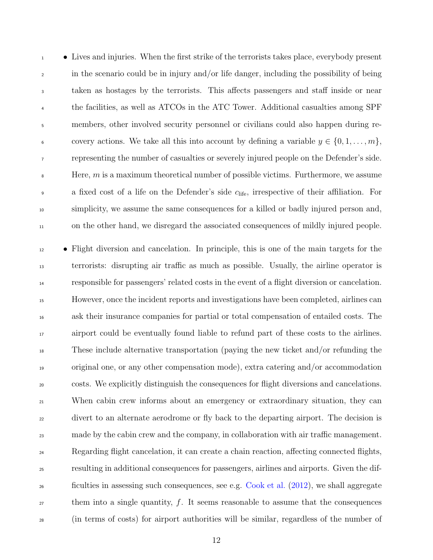• Lives and injuries. When the first strike of the terrorists takes place, everybody present in the scenario could be in injury and/or life danger, including the possibility of being taken as hostages by the terrorists. This affects passengers and staff inside or near the facilities, as well as ATCOs in the ATC Tower. Additional casualties among SPF members, other involved security personnel or civilians could also happen during re-6 covery actions. We take all this into account by defining a variable  $y \in \{0, 1, \ldots, m\}$ , representing the number of casualties or severely injured people on the Defender's side.  $\mathbf{s}$  Here, m is a maximum theoretical number of possible victims. Furthermore, we assume a fixed cost of a life on the Defender's side  $c_{\text{life}}$ , irrespective of their affiliation. For simplicity, we assume the same consequences for a killed or badly injured person and, on the other hand, we disregard the associated consequences of mildly injured people.

 • Flight diversion and cancelation. In principle, this is one of the main targets for the terrorists: disrupting air traffic as much as possible. Usually, the airline operator is responsible for passengers' related costs in the event of a flight diversion or cancelation. However, once the incident reports and investigations have been completed, airlines can ask their insurance companies for partial or total compensation of entailed costs. The airport could be eventually found liable to refund part of these costs to the airlines. These include alternative transportation (paying the new ticket and/or refunding the original one, or any other compensation mode), extra catering and/or accommodation costs. We explicitly distinguish the consequences for flight diversions and cancelations. When cabin crew informs about an emergency or extraordinary situation, they can divert to an alternate aerodrome or fly back to the departing airport. The decision is made by the cabin crew and the company, in collaboration with air traffic management. Regarding flight cancelation, it can create a chain reaction, affecting connected flights, resulting in additional consequences for passengers, airlines and airports. Given the dif- ficulties in assessing such consequences, see e.g. [Cook et al.](#page-30-3) [\(2012\)](#page-30-3), we shall aggregate them into a single quantity, f. It seems reasonable to assume that the consequences (in terms of costs) for airport authorities will be similar, regardless of the number of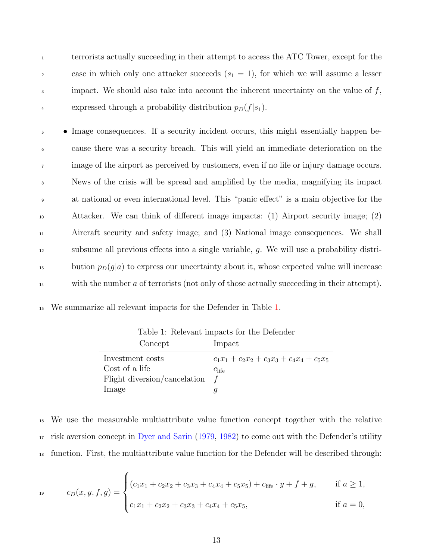<sup>1</sup> terrorists actually succeeding in their attempt to access the ATC Tower, except for the <sup>2</sup> case in which only one attacker succeeds  $(s_1 = 1)$ , for which we will assume a lesser  $\frac{3}{3}$  impact. We should also take into account the inherent uncertainty on the value of  $f$ , 4 expressed through a probability distribution  $p_D(f|s_1)$ .

 • Image consequences. If a security incident occurs, this might essentially happen be- cause there was a security breach. This will yield an immediate deterioration on the <sup>7</sup> image of the airport as perceived by customers, even if no life or injury damage occurs. News of the crisis will be spread and amplified by the media, magnifying its impact at national or even international level. This "panic effect" is a main objective for the Attacker. We can think of different image impacts: (1) Airport security image; (2) Aircraft security and safety image; and (3) National image consequences. We shall subsume all previous effects into a single variable, g. We will use a probability distri- $\mu_1$ <sup>13</sup> bution  $p_D(g|a)$  to express our uncertainty about it, whose expected value will increase <sup>14</sup> with the number a of terrorists (not only of those actually succeeding in their attempt).

<sup>15</sup> We summarize all relevant impacts for the Defender in Table [1.](#page-12-0)

|                              | rapic 1. Referant impacts for the Defender   |
|------------------------------|----------------------------------------------|
| Concept                      | Impact                                       |
| Investment costs             | $c_1x_1 + c_2x_2 + c_3x_3 + c_4x_4 + c_5x_5$ |
| Cost of a life               | $c_{\text{life}}$                            |
| Flight diversion/cancelation | $\pm$                                        |
| Image                        |                                              |
|                              |                                              |

<span id="page-12-0"></span>Table 1: Relevant impacts for the Defender

<sup>16</sup> We use the measurable multiattribute value function concept together with the relative <sup>17</sup> risk aversion concept in [Dyer and Sarin](#page-30-4) [\(1979,](#page-30-4) [1982\)](#page-30-5) to come out with the Defender's utility <sup>18</sup> function. First, the multiattribute value function for the Defender will be described through:

$$
c_D(x, y, f, g) = \begin{cases} (c_1x_1 + c_2x_2 + c_3x_3 + c_4x_4 + c_5x_5) + c_{\text{life}} \cdot y + f + g, & \text{if } a \ge 1, \\ c_1x_1 + c_2x_2 + c_3x_3 + c_4x_4 + c_5x_5, & \text{if } a = 0, \end{cases}
$$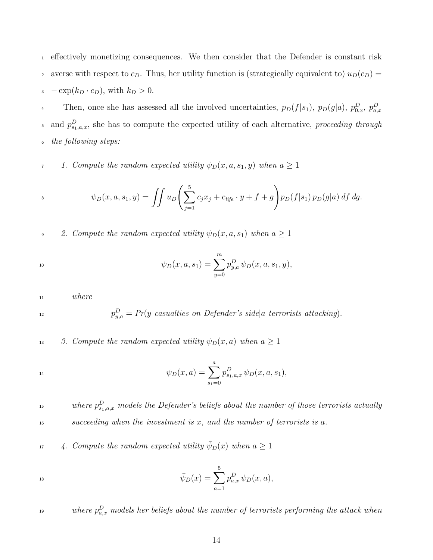<sup>1</sup> effectively monetizing consequences. We then consider that the Defender is constant risk 2 averse with respect to  $c_D$ . Thus, her utility function is (strategically equivalent to)  $u_D(c_D)$  =  $\text{3}$  –  $\exp(k_D \cdot c_D)$ , with  $k_D > 0$ .

Then, once she has assessed all the involved uncertainties,  $p_D(f|s_1)$ ,  $p_D(g|a)$ ,  $p_{0,x}^D$ ,  $p_{a,x}^D$ <sup>5</sup> and  $p_{s_1,a,x}^D$ , she has to compute the expected utility of each alternative, proceeding through <sup>6</sup> the following steps:

7 1. Compute the random expected utility  $\psi_D(x, a, s_1, y)$  when  $a \geq 1$ 

s 
$$
\psi_D(x, a, s_1, y) = \iint u_D \left( \sum_{j=1}^5 c_j x_j + c_{life} \cdot y + f + g \right) p_D(f|s_1) p_D(g|a) \, df \, dg.
$$

9 2. Compute the random expected utility  $\psi_D(x, a, s_1)$  when  $a \geq 1$ 

$$
\psi_D(x, a, s_1) = \sum_{y=0}^m p_{y,a}^D \psi_D(x, a, s_1, y),
$$

<sup>11</sup> where

 $p_{y,a}^D = Pr(y \text{ } casualties \text{ } on \text{ } Defender's \text{ } side|a \text{ } terrorists \text{ } attacking).$ 

13 3. Compute the random expected utility  $\psi_D(x, a)$  when  $a \geq 1$ 

$$
\psi_D(x,a) = \sum_{s_1=0}^a p_{s_1,a,x}^D \psi_D(x,a,s_1),
$$

<sup>15</sup> status where  $p_{s_1,a,x}^D$  models the Defender's beliefs about the number of those terrorists actually  $16$  succeeding when the investment is x, and the number of terrorists is a.

 $\mu$  4. Compute the random expected utility  $\bar{\psi}_D(x)$  when  $a \geq 1$ 

$$
\bar{\psi}_D(x) = \sum_{a=1}^5 p_{a,x}^D \,\psi_D(x,a),
$$

 $\mathcal{L}_{\text{19}}$  as a universe p $_{a,x}^D$  models her beliefs about the number of terrorists performing the attack when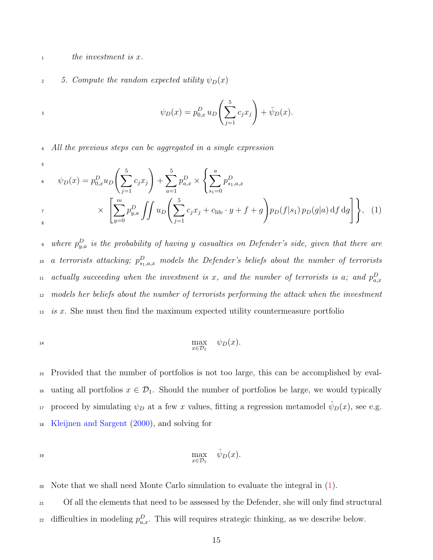$\Delta$  the investment is x.

#### 2 5. Compute the random expected utility  $\psi_D(x)$

$$
\psi_D(x) = p_{0,x}^D u_D\left(\sum_{j=1}^5 c_j x_j\right) + \bar{\psi}_D(x).
$$

<sup>4</sup> All the previous steps can be aggregated in a single expression

<span id="page-14-0"></span>
$$
\psi_D(x) = p_{0,x}^D u_D \left( \sum_{j=1}^5 c_j x_j \right) + \sum_{a=1}^5 p_{a,x}^D \times \left\{ \sum_{s_1=0}^a p_{s_1,a,x}^D \right\}
$$
  
\n
$$
\times \left[ \sum_{y=0}^m p_{y,a}^D \iint u_D \left( \sum_{j=1}^5 c_j x_j + c_{\text{life}} \cdot y + f + g \right) p_D(f|s_1) p_D(g|a) \, df \, dg \right] \right\}, \tag{1}
$$

 $\mathbf{p}_{y,a}^D$  is the probability of having y casualties on Defender's side, given that there are  $\alpha$  a terrorists attacking;  $p^{D}_{s_{1},a,x}$  models the Defender's beliefs about the number of terrorists actually succeeding when the investment is x, and the number of terrorists is a; and  $p_{a,x}^D$ <sup>12</sup> models her beliefs about the number of terrorists performing the attack when the investment <sup>13</sup> is x. She must then find the maximum expected utility countermeasure portfolio

$$
\max_{x \in \mathcal{D}_1} \quad \psi_D(x).
$$

<sup>15</sup> Provided that the number of portfolios is not too large, this can be accomplished by eval-<sup>16</sup> uating all portfolios  $x \in \mathcal{D}_1$ . Should the number of portfolios be large, we would typically proceed by simulating  $\psi_D$  at a few x values, fitting a regression metamodel  $\hat{\psi}_D(x)$ , see e.g. <sup>18</sup> [Kleijnen and Sargent](#page-31-5) [\(2000\)](#page-31-5), and solving for

$$
\max_{x \in \mathcal{D}_1} \quad \hat{\psi}_D(x).
$$

<sup>20</sup> Note that we shall need Monte Carlo simulation to evaluate the integral in [\(1\)](#page-14-0).

<sup>21</sup> Of all the elements that need to be assessed by the Defender, she will only find structural <sup>22</sup> difficulties in modeling  $p_{a,x}^D$ . This will requires strategic thinking, as we describe below.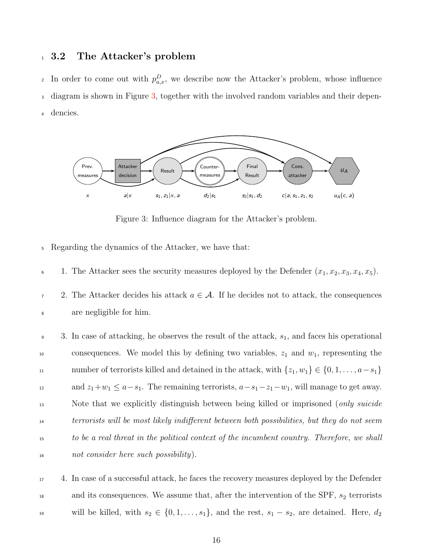#### <sup>1</sup> 3.2 The Attacker's problem

<sup>2</sup> In order to come out with  $p_{a,x}^D$ , we describe now the Attacker's problem, whose influence <sup>3</sup> diagram is shown in Figure [3,](#page-15-0) together with the involved random variables and their depen-<sup>4</sup> dencies.



<span id="page-15-0"></span>Figure 3: Influence diagram for the Attacker's problem.

- <sup>5</sup> Regarding the dynamics of the Attacker, we have that:
- 6 1. The Attacker sees the security measures deployed by the Defender  $(x_1, x_2, x_3, x_4, x_5)$ .
- 7 2. The Attacker decides his attack  $a \in \mathcal{A}$ . If he decides not to attack, the consequences <sup>8</sup> are negligible for him.
- 9 3. In case of attacking, he observes the result of the attack,  $s_1$ , and faces his operational  $10$  consequences. We model this by defining two variables,  $z_1$  and  $w_1$ , representing the 11 number of terrorists killed and detained in the attack, with  $\{z_1, w_1\} \in \{0, 1, \ldots, a-s_1\}$ 12 and  $z_1+w_1 \le a-s_1$ . The remaining terrorists,  $a-s_1-z_1-w_1$ , will manage to get away. 13 Note that we explicitly distinguish between being killed or imprisoned (only suicide <sup>14</sup> terrorists will be most likely indifferent between both possibilities, but they do not seem <sup>15</sup> to be a real threat in the political context of the incumbent country. Therefore, we shall <sup>16</sup> not consider here such possibility).

<sup>17</sup> 4. In case of a successful attack, he faces the recovery measures deployed by the Defender  $\alpha$  and its consequences. We assume that, after the intervention of the SPF,  $s_2$  terrorists 19 will be killed, with  $s_2 \in \{0, 1, \ldots, s_1\}$ , and the rest,  $s_1 - s_2$ , are detained. Here,  $d_2$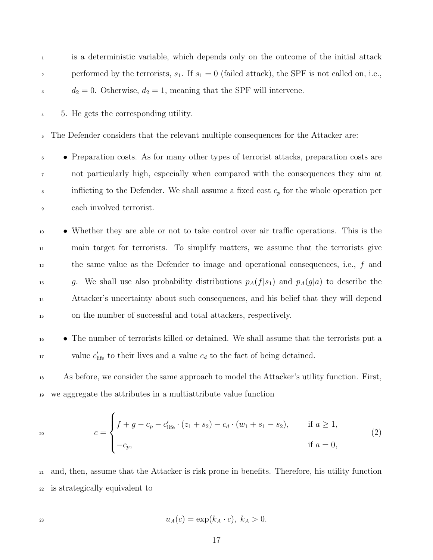| $\mathbf{1}$   | is a deterministic variable, which depends only on the outcome of the initial attack               |
|----------------|----------------------------------------------------------------------------------------------------|
| $\overline{c}$ | performed by the terrorists, $s_1$ . If $s_1 = 0$ (failed attack), the SPF is not called on, i.e., |
| $\mathbf{3}$   | $d_2 = 0$ . Otherwise, $d_2 = 1$ , meaning that the SPF will intervene.                            |
| $\overline{4}$ | 5. He gets the corresponding utility.                                                              |
| 5              | The Defender considers that the relevant multiple consequences for the Attacker are:               |
| 6              | • Preparation costs. As for many other types of terrorist attacks, preparation costs are           |
| $\overline{7}$ | not particularly high, especially when compared with the consequences they aim at                  |
| $\,8\,$        | inflicting to the Defender. We shall assume a fixed cost $c_p$ for the whole operation per         |
| $\overline{9}$ | each involved terrorist.                                                                           |
| 10             | • Whether they are able or not to take control over air traffic operations. This is the            |
| $11\,$         | main target for terrorists. To simplify matters, we assume that the terrorists give                |
| 12             | the same value as the Defender to image and operational consequences, i.e., $f$ and                |
|                |                                                                                                    |

<sup>13</sup> g. We shall use also probability distributions  $p_A(f|s_1)$  and  $p_A(g|a)$  to describe the Attacker's uncertainty about such consequences, and his belief that they will depend on the number of successful and total attackers, respectively.

 • The number of terrorists killed or detained. We shall assume that the terrorists put a value  $c'_{\text{life}}$  to their lives and a value  $c_d$  to the fact of being detained.

<span id="page-16-0"></span> As before, we consider the same approach to model the Attacker's utility function. First, we aggregate the attributes in a multiattribute value function

$$
c = \begin{cases} f + g - c_p - c'_{\text{life}} \cdot (z_1 + s_2) - c_d \cdot (w_1 + s_1 - s_2), & \text{if } a \ge 1, \\ -c_p, & \text{if } a = 0, \end{cases}
$$
(2)

 and, then, assume that the Attacker is risk prone in benefits. Therefore, his utility function is strategically equivalent to

$$
u_A(c) = \exp(k_A \cdot c), \ k_A > 0.
$$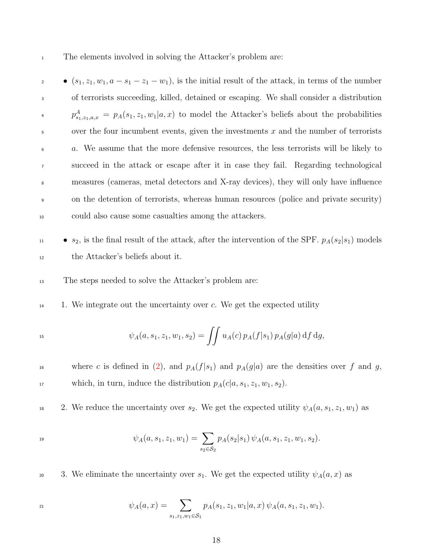<sup>1</sup> The elements involved in solving the Attacker's problem are:

 $\bullet$  (s<sub>1</sub>, z<sub>1</sub>, w<sub>1</sub>, a – s<sub>1</sub> – z<sub>1</sub> – w<sub>1</sub>), is the initial result of the attack, in terms of the number of terrorists succeeding, killed, detained or escaping. We shall consider a distribution  $p_{s_1, z_1, a, x}^A = p_A(s_1, z_1, w_1 | a, x)$  to model the Attacker's beliefs about the probabilities  $\frac{1}{5}$  over the four incumbent events, given the investments x and the number of terrorists a. We assume that the more defensive resources, the less terrorists will be likely to succeed in the attack or escape after it in case they fail. Regarding technological measures (cameras, metal detectors and X-ray devices), they will only have influence on the detention of terrorists, whereas human resources (police and private security) could also cause some casualties among the attackers.

- $\bullet$  s<sub>2</sub>, is the final result of the attack, after the intervention of the SPF.  $p_A(s_2|s_1)$  models <sup>12</sup> the Attacker's beliefs about it.
- <sup>13</sup> The steps needed to solve the Attacker's problem are:
- $14$  1. We integrate out the uncertainty over c. We get the expected utility

$$
\psi_A(a, s_1, z_1, w_1, s_2) = \iint u_A(c) \, p_A(f|s_1) \, p_A(g|a) \, df \, dg,
$$

<sup>16</sup> where c is defined in [\(2\)](#page-16-0), and  $p_A(f|s_1)$  and  $p_A(g|a)$  are the densities over f and g, 17 which, in turn, induce the distribution  $p_A(c|a, s_1, z_1, w_1, s_2)$ .

<sup>18</sup> 2. We reduce the uncertainty over  $s_2$ . We get the expected utility  $\psi_A(a, s_1, z_1, w_1)$  as

$$
\psi_A(a,s_1,z_1,w_1)=\sum_{s_2\in\mathcal{S}_2}p_A(s_2|s_1)\,\psi_A(a,s_1,z_1,w_1,s_2).
$$

20 3. We eliminate the uncertainty over  $s_1$ . We get the expected utility  $\psi_A(a, x)$  as

$$
\psi_A(a,x) = \sum_{s_1, z_1, w_1 \in \mathcal{S}_1} p_A(s_1, z_1, w_1 | a, x) \psi_A(a, s_1, z_1, w_1).
$$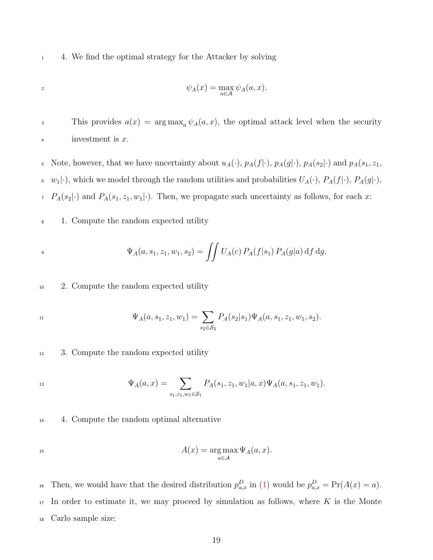<sup>1</sup> 4. We find the optimal strategy for the Attacker by solving

$$
\psi_A(x) = \max_{a \in \mathcal{A}} \psi_A(a, x).
$$

3 This provides  $a(x) = \arg \max_a \psi_A(a, x)$ , the optimal attack level when the security 4 investment is x.

5 Note, however, that we have uncertainty about  $u_A(\cdot)$ ,  $p_A(f|\cdot)$ ,  $p_A(g|\cdot)$ ,  $p_A(s_2|\cdot)$  and  $p_A(s_1, z_1, z_2)$  $w_1(\cdot)$ , which we model through the random utilities and probabilities  $U_A(\cdot)$ ,  $P_A(f|\cdot)$ ,  $P_A(g|\cdot)$ ,  $P_A(s_2|\cdot)$  and  $P_A(s_1, z_1, w_1|\cdot)$ . Then, we propagate such uncertainty as follows, for each x:

<sup>8</sup> 1. Compute the random expected utility

$$
\Psi_A(a, s_1, z_1, w_1, s_2) = \iint U_A(c) P_A(f|s_1) P_A(g|a) \, df \, dg.
$$

<sup>10</sup> 2. Compute the random expected utility

$$
\Psi_A(a,s_1,z_1,w_1)=\sum_{s_2\in\mathcal{S}_2}P_A(s_2|s_1)\Psi_A(a,s_1,z_1,w_1,s_2).
$$

<sup>12</sup> 3. Compute the random expected utility

$$
\Psi_A(a,x) = \sum_{s_1, z_1, w_1 \in \mathcal{S}_1} P_A(s_1, z_1, w_1 | a, x) \Psi_A(a, s_1, z_1, w_1).
$$

<sup>14</sup> 4. Compute the random optimal alternative

$$
A(x) = \arg \max_{a \in \mathcal{A}} \Psi_A(a, x).
$$

<sup>16</sup> Then, we would have that the desired distribution  $p_{a,x}^D$  in [\(1\)](#page-14-0) would be  $p_{a,x}^D = \Pr(A(x) = a)$ .  $17$  In order to estimate it, we may proceed by simulation as follows, where K is the Monte <sup>18</sup> Carlo sample size: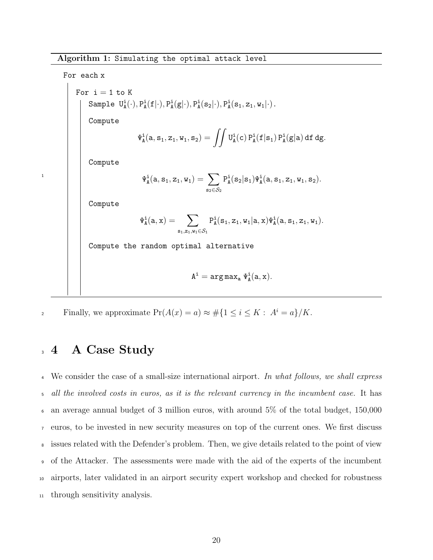Algorithm 1: Simulating the optimal attack level

For each x For  $i = 1$  to  $K$ Sample  $U^i_A(\cdot), P^i_A(f|\cdot), P^i_A(g|\cdot), P^i_A(s_2|\cdot), P^i_A(s_1, z_1, w_1|\cdot)$ . Compute  $\Psi_{\mathtt{A}}^{\mathtt{i}}(\mathtt{a},\mathtt{s}_1, \mathtt{z}_1, \mathtt{w}_1, \mathtt{s}_2) = \int\int \mathtt{U}_{\mathtt{A}}^{\mathtt{i}}(\mathtt{c}) \, \mathtt{P}_{\mathtt{A}}^{\mathtt{i}}(\mathtt{f}|\mathtt{s}_1) \, \mathtt{P}_{\mathtt{A}}^{\mathtt{i}}(\mathtt{g}|\mathtt{a}) \, \mathtt{d}\mathtt{f} \, \mathtt{d}\mathtt{g}.$ Compute  $\Psi^{\texttt{i}}_\texttt{A}(\texttt{a}, \texttt{s}_\texttt{1}, \texttt{z}_\texttt{1}, \texttt{w}_\texttt{1}) = \ \sum$  $\mathbf{s}_2 \in \mathcal{S}_2$  $P_{A}^{i}(s_{2}|s_{1})\Psi_{A}^{i}(a,s_{1},z_{1},w_{1},s_{2}).$ Compute  $\Psi^{\mathtt{i}}_{\mathtt{A}}(\mathtt{a}, \mathtt{x}) = -\sum_{\mathtt{A}}% \pi_{\mathtt{A}}(\mathtt{A}, \mathtt{A}, \mathtt{A}, \mathtt{A}, \mathtt{A}, \mathtt{A}, \mathtt{A}, \mathtt{A}, \mathtt{A}, \mathtt{A}, \mathtt{A}, \mathtt{A}, \mathtt{A}, \mathtt{A}, \mathtt{A}, \mathtt{A}, \mathtt{A}, \mathtt{A}, \mathtt{A}, \mathtt{A}, \mathtt{A}, \mathtt{A}, \mathtt{A}, \mathtt{A}, \mathtt{A}, \mathtt{A}, \mathtt{A}, \mathtt{A}, \mathtt{A$  $\mathtt{s}_1,\mathtt{z}_1,\mathtt{w}_1{\in}\mathcal{S}_1$  $P_{A}^{i}(s_1, z_1, w_1 | a, x) \Psi_{A}^{i}(a, s_1, z_1, w_1).$ 

Compute the random optimal alternative

$$
A^i = \text{arg}\, \text{max}_a\, \Psi^i_A(a,x).
$$

<span id="page-19-1"></span>2 Finally, we approximate  $Pr(A(x) = a) \approx #\{1 \le i \le K : A^i = a\}/K$ .

# <span id="page-19-0"></span><sup>3</sup> 4 A Case Study

1

<sup>4</sup> We consider the case of a small-size international airport. In what follows, we shall express all the involved costs in euros, as it is the relevant currency in the incumbent case. It has an average annual budget of 3 million euros, with around 5% of the total budget, 150,000 euros, to be invested in new security measures on top of the current ones. We first discuss issues related with the Defender's problem. Then, we give details related to the point of view of the Attacker. The assessments were made with the aid of the experts of the incumbent airports, later validated in an airport security expert workshop and checked for robustness through sensitivity analysis.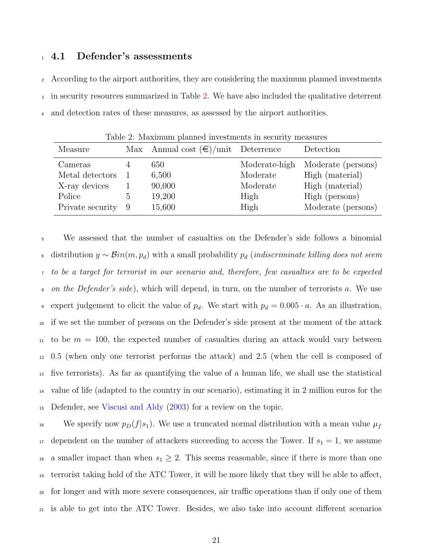#### <sup>1</sup> 4.1 Defender's assessments

<sup>2</sup> According to the airport authorities, they are considering the maximum planned investments <sup>3</sup> in security resources summarized in Table [2.](#page-20-0) We have also included the qualitative deterrent <sup>4</sup> and detection rates of these measures, as assessed by the airport authorities.

| Table 2: Maximum planned investments in security measures<br>Annual cost $(\epsilon)/$ unit Deterrence<br>Measure<br>Detection<br>Max |                       |                                            |                                                       |                                                                                                  |  |
|---------------------------------------------------------------------------------------------------------------------------------------|-----------------------|--------------------------------------------|-------------------------------------------------------|--------------------------------------------------------------------------------------------------|--|
| Cameras<br>Metal detectors<br>X-ray devices<br>Police<br>Private security                                                             | $\mathfrak{h}$<br>- 9 | 650<br>6,500<br>90,000<br>19,200<br>15,600 | Moderate-high<br>Moderate<br>Moderate<br>High<br>High | Moderate (persons)<br>High (material)<br>High (material)<br>High (persons)<br>Moderate (persons) |  |

<span id="page-20-0"></span>Table 2: Maximum planned investments in security measures

 We assessed that the number of casualties on the Defender's side follows a binomial 6 distribution  $y \sim \mathcal{B}in(m, p_d)$  with a small probability  $p_d$  (indiscriminate killing does not seem to be a target for terrorist in our scenario and, therefore, few casualties are to be expected  $\epsilon$  on the Defender's side), which will depend, in turn, on the number of terrorists a. We use 9 expert judgement to elicit the value of  $p_d$ . We start with  $p_d = 0.005 \cdot a$ . As an illustration, if we set the number of persons on the Defender's side present at the moment of the attack to be  $m = 100$ , the expected number of casualties during an attack would vary between 0.5 (when only one terrorist performs the attack) and 2.5 (when the cell is composed of five terrorists). As far as quantifying the value of a human life, we shall use the statistical value of life (adapted to the country in our scenario), estimating it in 2 million euros for the Defender, see [Viscusi and Aldy](#page-31-6) [\(2003\)](#page-31-6) for a review on the topic.

<sup>16</sup> We specify now  $p_D(f|s_1)$ . We use a truncated normal distribution with a mean value  $\mu_f$ <sup>17</sup> dependent on the number of attackers succeeding to access the Tower. If  $s_1 = 1$ , we assume <sup>18</sup> a smaller impact than when  $s_1 \geq 2$ . This seems reasonable, since if there is more than one <sup>19</sup> terrorist taking hold of the ATC Tower, it will be more likely that they will be able to affect, <sup>20</sup> for longer and with more severe consequences, air traffic operations than if only one of them <sup>21</sup> is able to get into the ATC Tower. Besides, we also take into account different scenarios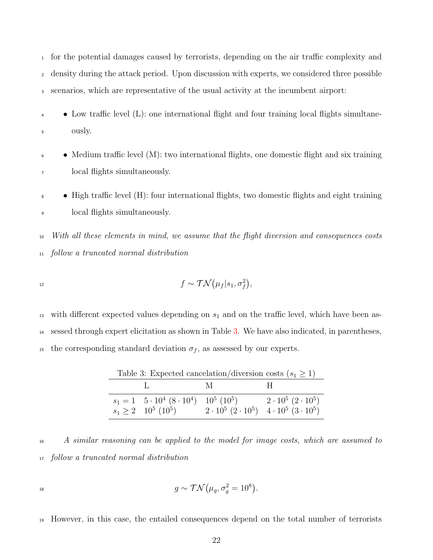<sup>1</sup> for the potential damages caused by terrorists, depending on the air traffic complexity and <sup>2</sup> density during the attack period. Upon discussion with experts, we considered three possible <sup>3</sup> scenarios, which are representative of the usual activity at the incumbent airport:

- <sup>4</sup> Low traffic level (L): one international flight and four training local flights simultane-<sup>5</sup> ously.
- $\bullet \quad \bullet \quad$  Medium traffic level (M): two international flights, one domestic flight and six training <sup>7</sup> local flights simultaneously.

<sup>8</sup> • High traffic level (H): four international flights, two domestic flights and eight training <sup>9</sup> local flights simultaneously.

<sup>10</sup> With all these elements in mind, we assume that the flight diversion and consequences costs <sup>11</sup> follow a truncated normal distribution

$$
f \sim \mathcal{TN}(\mu_f|s_1, \sigma_f^2),
$$

13 with different expected values depending on  $s_1$  and on the traffic level, which have been as-<sup>14</sup> sessed through expert elicitation as shown in Table [3.](#page-21-0) We have also indicated, in parentheses, <sup>15</sup> the corresponding standard deviation  $\sigma_f$ , as assessed by our experts.

<span id="page-21-0"></span>

| Table 3: Expected cancelation/diversion costs $(s_1 \geq 1)$ |                                                                   |                                                             |                               |  |  |  |
|--------------------------------------------------------------|-------------------------------------------------------------------|-------------------------------------------------------------|-------------------------------|--|--|--|
|                                                              |                                                                   | M                                                           | H                             |  |  |  |
|                                                              | $s_1 = 1 \quad 5 \cdot 10^4 \ (8 \cdot 10^4) \quad 10^5 \ (10^5)$ |                                                             | $2 \cdot 10^5 (2 \cdot 10^5)$ |  |  |  |
|                                                              | $s_1 \geq 2 \quad 10^5 \ (10^5)$                                  | $2 \cdot 10^5 (2 \cdot 10^5)$ $4 \cdot 10^5 (3 \cdot 10^5)$ |                               |  |  |  |

Table 3: Expected cancelation/diversion costs  $(s_1 \geq 1)$ 

<sup>16</sup> A similar reasoning can be applied to the model for image costs, which are assumed to <sup>17</sup> follow a truncated normal distribution

$$
g \sim \mathcal{TN}(\mu_g, \sigma_g^2 = 10^8).
$$

<sup>19</sup> However, in this case, the entailed consequences depend on the total number of terrorists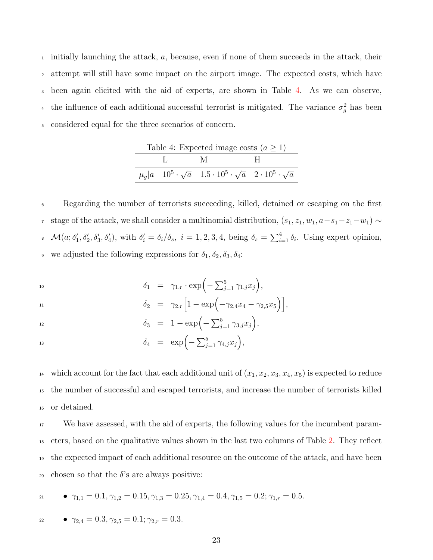initially launching the attack, a, because, even if none of them succeeds in the attack, their attempt will still have some impact on the airport image. The expected costs, which have been again elicited with the aid of experts, are shown in Table [4.](#page-22-0) As we can observe, <sup>4</sup> the influence of each additional successful terrorist is mitigated. The variance  $\sigma_g^2$  has been considered equal for the three scenarios of concern.

<span id="page-22-0"></span>

| Table 4: Expected image costs $(a \ge 1)$ |         |                                                                                                            |  |  |  |
|-------------------------------------------|---------|------------------------------------------------------------------------------------------------------------|--|--|--|
|                                           | $L = M$ |                                                                                                            |  |  |  |
|                                           |         | $\mu_a  a \quad 10^5 \cdot \sqrt{a} \quad 1.5 \cdot 10^5 \cdot \sqrt{a} \quad 2 \cdot 10^5 \cdot \sqrt{a}$ |  |  |  |

<sup>6</sup> Regarding the number of terrorists succeeding, killed, detained or escaping on the first *r* stage of the attack, we shall consider a multinomial distribution,  $(s_1, z_1, w_1, a-s_1-z_1-w_1)$  ∼  $\mathcal{M}(a; \delta'_1, \delta'_2, \delta'_3, \delta'_4)$ , with  $\delta'_i = \delta_i/\delta_s$ ,  $i = 1, 2, 3, 4$ , being  $\delta_s = \sum_{i=1}^4 \delta_i$ . Using expert opinion, 9 we adjusted the following expressions for  $\delta_1, \delta_2, \delta_3, \delta_4$ :

 $\delta_1 = \gamma_{1,r} \cdot \exp\left(-\sum_{j=1}^5 \gamma_{1,j} x_j\right),$  $\delta_2 = \gamma_{2,r} \Big[ 1 - \exp \Big( - \gamma_{2,4} x_4 - \gamma_{2,5} x_5 \Big) \Big],$  $\delta_3 = 1 - \exp\left(-\sum_{j=1}^5 \gamma_{3,j} x_j\right),$ <sup>13</sup>  $\delta_4 = \exp\left(-\sum_{j=1}^5 \gamma_{4,j} x_j\right),$ 

<sup>14</sup> which account for the fact that each additional unit of  $(x_1, x_2, x_3, x_4, x_5)$  is expected to reduce <sup>15</sup> the number of successful and escaped terrorists, and increase the number of terrorists killed <sup>16</sup> or detained.

 We have assessed, with the aid of experts, the following values for the incumbent param- eters, based on the qualitative values shown in the last two columns of Table [2.](#page-20-0) They reflect the expected impact of each additional resource on the outcome of the attack, and have been 20 chosen so that the  $\delta$ 's are always positive:

$$
P_{1,1} = 0.1, \gamma_{1,2} = 0.15, \gamma_{1,3} = 0.25, \gamma_{1,4} = 0.4, \gamma_{1,5} = 0.2; \gamma_{1,r} = 0.5.
$$

$$
\bullet \ \gamma_{2,4} = 0.3, \gamma_{2,5} = 0.1; \gamma_{2,r} = 0.3.
$$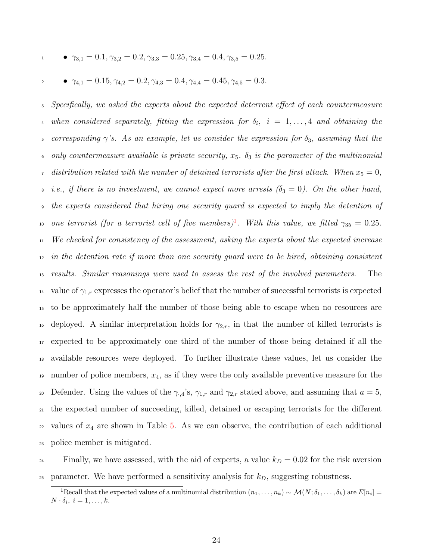$$
\gamma_{3,1} = 0.1, \gamma_{3,2} = 0.2, \gamma_{3,3} = 0.25, \gamma_{3,4} = 0.4, \gamma_{3,5} = 0.25.
$$

$$
\bullet \quad \gamma_{4,1} = 0.15, \gamma_{4,2} = 0.2, \gamma_{4,3} = 0.4, \gamma_{4,4} = 0.45, \gamma_{4,5} = 0.3.
$$

<sup>3</sup> Specifically, we asked the experts about the expected deterrent effect of each countermeasure 4 when considered separately, fitting the expression for  $\delta_i$ ,  $i = 1, \ldots, 4$  and obtaining the 5 corresponding  $\gamma$ 's. As an example, let us consider the expression for  $\delta_3$ , assuming that the 6 only countermeasure available is private security,  $x_5$ .  $\delta_3$  is the parameter of the multinomial <sup>7</sup> distribution related with the number of detained terrorists after the first attack. When  $x_5 = 0$ ,  $\in$  i.e., if there is no investment, we cannot expect more arrests ( $\delta_3 = 0$ ). On the other hand, <sup>9</sup> the experts considered that hiring one security guard is expected to imply the detention of no one terrorist (for a terrorist cell of five members)<sup>[1](#page-23-0)</sup>. With this value, we fitted  $\gamma_{35} = 0.25$ . <sup>11</sup> We checked for consistency of the assessment, asking the experts about the expected increase  $12$  in the detention rate if more than one security guard were to be hired, obtaining consistent <sup>13</sup> results. Similar reasonings were used to assess the rest of the involved parameters. The <sup>14</sup> value of  $\gamma_{1,r}$  expresses the operator's belief that the number of successful terrorists is expected <sup>15</sup> to be approximately half the number of those being able to escape when no resources are 16 deployed. A similar interpretation holds for  $\gamma_{2,r}$ , in that the number of killed terrorists is <sup>17</sup> expected to be approximately one third of the number of those being detained if all the <sup>18</sup> available resources were deployed. To further illustrate these values, let us consider the 19 number of police members,  $x_4$ , as if they were the only available preventive measure for the 20 Defender. Using the values of the  $\gamma_{\cdot,4}$ 's,  $\gamma_{1,r}$  and  $\gamma_{2,r}$  stated above, and assuming that  $a=5$ , <sup>21</sup> the expected number of succeeding, killed, detained or escaping terrorists for the different  $22$  values of  $x_4$  are shown in Table [5.](#page-24-0) As we can observe, the contribution of each additional <sup>23</sup> police member is mitigated.

<sup>24</sup> Finally, we have assessed, with the aid of experts, a value  $k_D = 0.02$  for the risk aversion 25 parameter. We have performed a sensitivity analysis for  $k_D$ , suggesting robustness.

<span id="page-23-0"></span><sup>&</sup>lt;sup>1</sup>Recall that the expected values of a multinomial distribution  $(n_1, \ldots, n_k) \sim \mathcal{M}(N; \delta_1, \ldots, \delta_k)$  are  $E[n_i] =$  $N \cdot \delta_i, i = 1, \ldots, k.$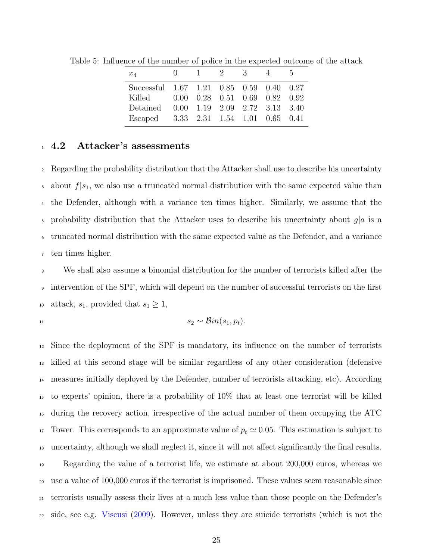<span id="page-24-0"></span>

| $x_4$                                    |                                                               | 1 2 3 | 4 | $\Delta$ |
|------------------------------------------|---------------------------------------------------------------|-------|---|----------|
| Successful 1.67 1.21 0.85 0.59 0.40 0.27 |                                                               |       |   |          |
| Killed                                   | $0.00 \quad 0.28 \quad 0.51 \quad 0.69 \quad 0.82 \quad 0.92$ |       |   |          |
| Detained 0.00 1.19 2.09 2.72 3.13 3.40   |                                                               |       |   |          |
| Escaped 3.33 2.31 1.54 1.01 0.65 0.41    |                                                               |       |   |          |
|                                          |                                                               |       |   |          |

Table 5: Influence of the number of police in the expected outcome of the attack

#### <sup>1</sup> 4.2 Attacker's assessments

 Regarding the probability distribution that the Attacker shall use to describe his uncertainty 3 about  $f|s_1$ , we also use a truncated normal distribution with the same expected value than the Defender, although with a variance ten times higher. Similarly, we assume that the  $\frac{1}{5}$  probability distribution that the Attacker uses to describe his uncertainty about g|a is a truncated normal distribution with the same expected value as the Defender, and a variance ten times higher.

 We shall also assume a binomial distribution for the number of terrorists killed after the intervention of the SPF, which will depend on the number of successful terrorists on the first 10 attack,  $s_1$ , provided that  $s_1 \geq 1$ ,

$$
1\\1
$$

$$
s_2 \sim \mathcal{B}in(s_1, p_t).
$$

 Since the deployment of the SPF is mandatory, its influence on the number of terrorists killed at this second stage will be similar regardless of any other consideration (defensive measures initially deployed by the Defender, number of terrorists attacking, etc). According to experts' opinion, there is a probability of 10% that at least one terrorist will be killed during the recovery action, irrespective of the actual number of them occupying the ATC 17 Tower. This corresponds to an approximate value of  $p_t \simeq 0.05$ . This estimation is subject to uncertainty, although we shall neglect it, since it will not affect significantly the final results. Regarding the value of a terrorist life, we estimate at about 200,000 euros, whereas we use a value of 100,000 euros if the terrorist is imprisoned. These values seem reasonable since terrorists usually assess their lives at a much less value than those people on the Defender's side, see e.g. [Viscusi](#page-31-7) [\(2009\)](#page-31-7). However, unless they are suicide terrorists (which is not the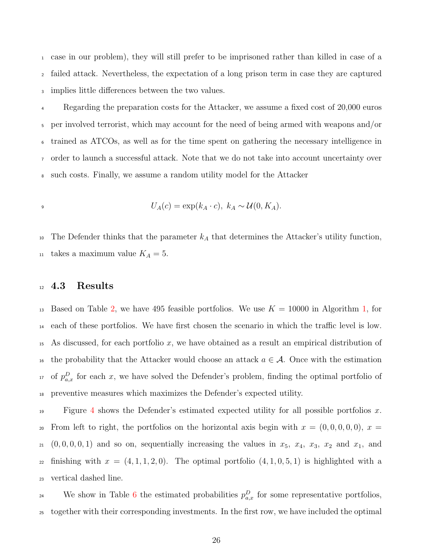<sup>1</sup> case in our problem), they will still prefer to be imprisoned rather than killed in case of a <sup>2</sup> failed attack. Nevertheless, the expectation of a long prison term in case they are captured <sup>3</sup> implies little differences between the two values.

 Regarding the preparation costs for the Attacker, we assume a fixed cost of 20,000 euros per involved terrorist, which may account for the need of being armed with weapons and/or trained as ATCOs, as well as for the time spent on gathering the necessary intelligence in order to launch a successful attack. Note that we do not take into account uncertainty over such costs. Finally, we assume a random utility model for the Attacker

$$
U_A(c) = \exp(k_A \cdot c), \ k_A \sim \mathcal{U}(0, K_A).
$$

<sup>10</sup> The Defender thinks that the parameter  $k_A$  that determines the Attacker's utility function, <sup>11</sup> takes a maximum value  $K_A = 5$ .

#### 12 4.3 Results

<sup>13</sup> Based on Table [2,](#page-20-0) we have 495 feasible portfolios. We use  $K = 10000$  in Algorithm [1,](#page-19-1) for <sup>14</sup> each of these portfolios. We have first chosen the scenario in which the traffic level is low. <sup>15</sup> As discussed, for each portfolio x, we have obtained as a result an empirical distribution of <sup>16</sup> the probability that the Attacker would choose an attack  $a \in \mathcal{A}$ . Once with the estimation <sup>17</sup> of  $p_{a,x}^D$  for each x, we have solved the Defender's problem, finding the optimal portfolio of <sup>18</sup> preventive measures which maximizes the Defender's expected utility.

19 Figure [4](#page-26-0) shows the Defender's estimated expected utility for all possible portfolios x. 20 From left to right, the portfolios on the horizontal axis begin with  $x = (0, 0, 0, 0, 0)$ ,  $x =$  $21 \quad (0, 0, 0, 0, 1)$  and so on, sequentially increasing the values in  $x_5$ ,  $x_4$ ,  $x_3$ ,  $x_2$  and  $x_1$ , and 22 finishing with  $x = (4, 1, 1, 2, 0)$ . The optimal portfolio  $(4, 1, 0, 5, 1)$  is highlighted with a <sup>23</sup> vertical dashed line.

<sup>24</sup> We show in Table [6](#page-27-0) the estimated probabilities  $p_{a,x}^D$  for some representative portfolios, <sup>25</sup> together with their corresponding investments. In the first row, we have included the optimal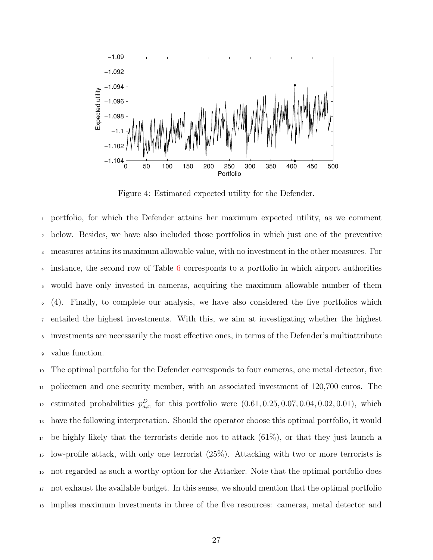

<span id="page-26-0"></span>Figure 4: Estimated expected utility for the Defender.

 portfolio, for which the Defender attains her maximum expected utility, as we comment below. Besides, we have also included those portfolios in which just one of the preventive measures attains its maximum allowable value, with no investment in the other measures. For instance, the second row of Table [6](#page-27-0) corresponds to a portfolio in which airport authorities would have only invested in cameras, acquiring the maximum allowable number of them (4). Finally, to complete our analysis, we have also considered the five portfolios which entailed the highest investments. With this, we aim at investigating whether the highest investments are necessarily the most effective ones, in terms of the Defender's multiattribute value function.

 The optimal portfolio for the Defender corresponds to four cameras, one metal detector, five policemen and one security member, with an associated investment of 120,700 euros. The <sup>12</sup> estimated probabilities  $p_{a,x}^D$  for this portfolio were  $(0.61, 0.25, 0.07, 0.04, 0.02, 0.01)$ , which have the following interpretation. Should the operator choose this optimal portfolio, it would <sup>14</sup> be highly likely that the terrorists decide not to attack  $(61\%)$ , or that they just launch a low-profile attack, with only one terrorist (25%). Attacking with two or more terrorists is not regarded as such a worthy option for the Attacker. Note that the optimal portfolio does not exhaust the available budget. In this sense, we should mention that the optimal portfolio implies maximum investments in three of the five resources: cameras, metal detector and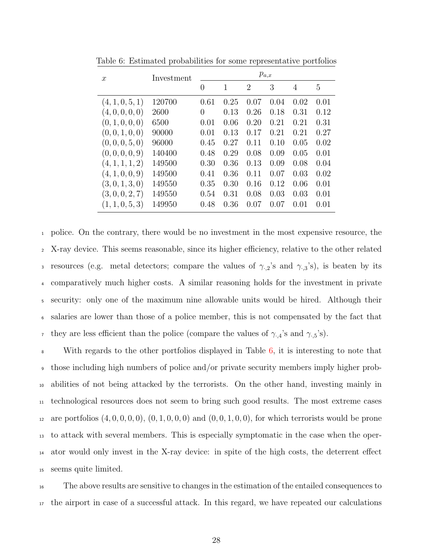| $\boldsymbol{x}$ | Investment | $p_{a,x}$ |      |                |      |                |      |
|------------------|------------|-----------|------|----------------|------|----------------|------|
|                  |            | $\theta$  | 1    | $\overline{2}$ | 3    | $\overline{4}$ | 5    |
| (4, 1, 0, 5, 1)  | 120700     | 0.61      | 0.25 | 0.07           | 0.04 | 0.02           | 0.01 |
| (4,0,0,0,0)      | 2600       | 0         | 0.13 | 0.26           | 0.18 | 0.31           | 0.12 |
| (0, 1, 0, 0, 0)  | 6500       | 0.01      | 0.06 | 0.20           | 0.21 | 0.21           | 0.31 |
| (0, 0, 1, 0, 0)  | 90000      | 0.01      | 0.13 | 0.17           | 0.21 | 0.21           | 0.27 |
| (0, 0, 0, 5, 0)  | 96000      | 0.45      | 0.27 | 0.11           | 0.10 | 0.05           | 0.02 |
| (0, 0, 0, 0, 9)  | 140400     | 0.48      | 0.29 | 0.08           | 0.09 | 0.05           | 0.01 |
| (4, 1, 1, 1, 2)  | 149500     | 0.30      | 0.36 | 0.13           | 0.09 | 0.08           | 0.04 |
| (4, 1, 0, 0, 9)  | 149500     | 0.41      | 0.36 | 0.11           | 0.07 | 0.03           | 0.02 |
| (3,0,1,3,0)      | 149550     | 0.35      | 0.30 | 0.16           | 0.12 | 0.06           | 0.01 |
| (3,0,0,2,7)      | 149550     | 0.54      | 0.31 | 0.08           | 0.03 | 0.03           | 0.01 |
| (1, 1, 0, 5, 3)  | 149950     | 0.48      | 0.36 | 0.07           | 0.07 | 0.01           | 0.01 |

<span id="page-27-0"></span>Table 6: Estimated probabilities for some representative portfolios

 police. On the contrary, there would be no investment in the most expensive resource, the X-ray device. This seems reasonable, since its higher efficiency, relative to the other related 3 resources (e.g. metal detectors; compare the values of  $\gamma_{\cdot,2}$ 's and  $\gamma_{\cdot,3}$ 's), is beaten by its comparatively much higher costs. A similar reasoning holds for the investment in private security: only one of the maximum nine allowable units would be hired. Although their salaries are lower than those of a police member, this is not compensated by the fact that <sup>7</sup> they are less efficient than the police (compare the values of  $\gamma_{,4}$ 's and  $\gamma_{,5}$ 's).

 With regards to the other portfolios displayed in Table [6,](#page-27-0) it is interesting to note that those including high numbers of police and/or private security members imply higher prob- abilities of not being attacked by the terrorists. On the other hand, investing mainly in technological resources does not seem to bring such good results. The most extreme cases 12 are portfolios  $(4, 0, 0, 0, 0)$ ,  $(0, 1, 0, 0, 0)$  and  $(0, 0, 1, 0, 0)$ , for which terrorists would be prone to attack with several members. This is especially symptomatic in the case when the oper- ator would only invest in the X-ray device: in spite of the high costs, the deterrent effect seems quite limited.

<sup>16</sup> The above results are sensitive to changes in the estimation of the entailed consequences to <sup>17</sup> the airport in case of a successful attack. In this regard, we have repeated our calculations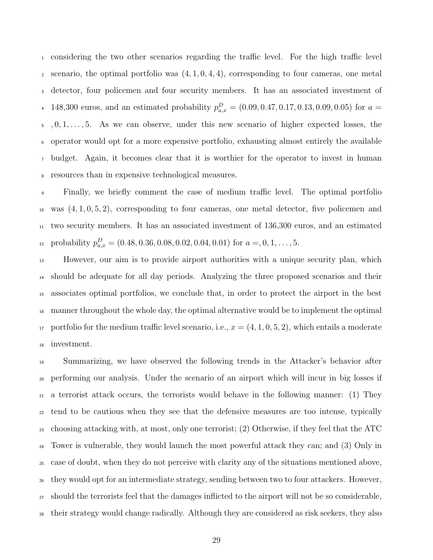considering the two other scenarios regarding the traffic level. For the high traffic level  $\alpha$  scenario, the optimal portfolio was  $(4, 1, 0, 4, 4)$ , corresponding to four cameras, one metal detector, four policemen and four security members. It has an associated investment of 4 148,300 euros, and an estimated probability  $p_{a,x}^D = (0.09, 0.47, 0.17, 0.13, 0.09, 0.05)$  for  $a =$  $5, 0, 1, \ldots, 5$ . As we can observe, under this new scenario of higher expected losses, the operator would opt for a more expensive portfolio, exhausting almost entirely the available budget. Again, it becomes clear that it is worthier for the operator to invest in human resources than in expensive technological measures.

 Finally, we briefly comment the case of medium traffic level. The optimal portfolio was  $(4, 1, 0, 5, 2)$ , corresponding to four cameras, one metal detector, five policemen and two security members. It has an associated investment of 136,300 euros, and an estimated 12 probability  $p_{a,x}^D = (0.48, 0.36, 0.08, 0.02, 0.04, 0.01)$  for  $a = 0, 1, \ldots, 5$ .

 However, our aim is to provide airport authorities with a unique security plan, which should be adequate for all day periods. Analyzing the three proposed scenarios and their associates optimal portfolios, we conclude that, in order to protect the airport in the best manner throughout the whole day, the optimal alternative would be to implement the optimal 17 portfolio for the medium traffic level scenario, i.e.,  $x = (4, 1, 0, 5, 2)$ , which entails a moderate investment.

 Summarizing, we have observed the following trends in the Attacker's behavior after performing our analysis. Under the scenario of an airport which will incur in big losses if a terrorist attack occurs, the terrorists would behave in the following manner: (1) They tend to be cautious when they see that the defensive measures are too intense, typically choosing attacking with, at most, only one terrorist; (2) Otherwise, if they feel that the ATC Tower is vulnerable, they would launch the most powerful attack they can; and (3) Only in case of doubt, when they do not perceive with clarity any of the situations mentioned above, they would opt for an intermediate strategy, sending between two to four attackers. However, should the terrorists feel that the damages inflicted to the airport will not be so considerable, their strategy would change radically. Although they are considered as risk seekers, they also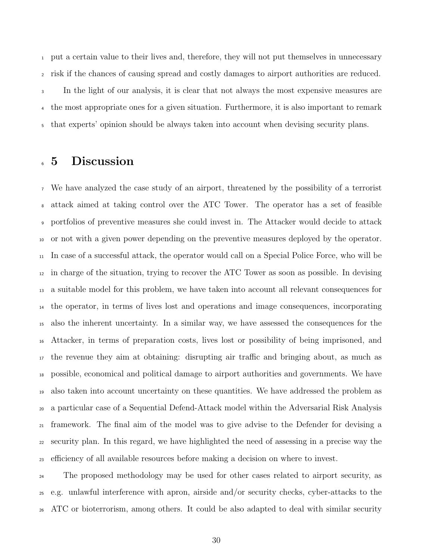put a certain value to their lives and, therefore, they will not put themselves in unnecessary risk if the chances of causing spread and costly damages to airport authorities are reduced. In the light of our analysis, it is clear that not always the most expensive measures are the most appropriate ones for a given situation. Furthermore, it is also important to remark that experts' opinion should be always taken into account when devising security plans.

# 5 Discussion

 We have analyzed the case study of an airport, threatened by the possibility of a terrorist attack aimed at taking control over the ATC Tower. The operator has a set of feasible portfolios of preventive measures she could invest in. The Attacker would decide to attack or not with a given power depending on the preventive measures deployed by the operator. In case of a successful attack, the operator would call on a Special Police Force, who will be in charge of the situation, trying to recover the ATC Tower as soon as possible. In devising a suitable model for this problem, we have taken into account all relevant consequences for the operator, in terms of lives lost and operations and image consequences, incorporating also the inherent uncertainty. In a similar way, we have assessed the consequences for the Attacker, in terms of preparation costs, lives lost or possibility of being imprisoned, and the revenue they aim at obtaining: disrupting air traffic and bringing about, as much as possible, economical and political damage to airport authorities and governments. We have also taken into account uncertainty on these quantities. We have addressed the problem as a particular case of a Sequential Defend-Attack model within the Adversarial Risk Analysis framework. The final aim of the model was to give advise to the Defender for devising a security plan. In this regard, we have highlighted the need of assessing in a precise way the efficiency of all available resources before making a decision on where to invest.

 The proposed methodology may be used for other cases related to airport security, as e.g. unlawful interference with apron, airside and/or security checks, cyber-attacks to the ATC or bioterrorism, among others. It could be also adapted to deal with similar security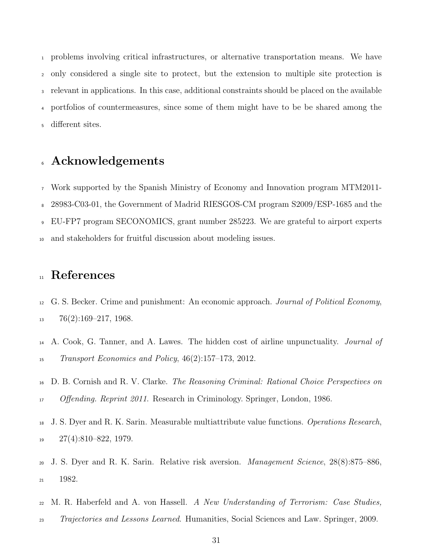problems involving critical infrastructures, or alternative transportation means. We have only considered a single site to protect, but the extension to multiple site protection is relevant in applications. In this case, additional constraints should be placed on the available portfolios of countermeasures, since some of them might have to be be shared among the different sites.

# Acknowledgements

 Work supported by the Spanish Ministry of Economy and Innovation program MTM2011- 28983-C03-01, the Government of Madrid RIESGOS-CM program S2009/ESP-1685 and the EU-FP7 program SECONOMICS, grant number 285223. We are grateful to airport experts and stakeholders for fruitful discussion about modeling issues.

# <sup>11</sup> References

- <span id="page-30-0"></span> G. S. Becker. Crime and punishment: An economic approach. Journal of Political Economy,  $13 \qquad 76(2):169-217, 1968.$
- <span id="page-30-3"></span><sup>14</sup> A. Cook, G. Tanner, and A. Lawes. The hidden cost of airline unpunctuality. *Journal of* Transport Economics and Policy, 46(2):157–173, 2012.
- <span id="page-30-1"></span> D. B. Cornish and R. V. Clarke. The Reasoning Criminal: Rational Choice Perspectives on Offending. Reprint 2011. Research in Criminology. Springer, London, 1986.
- <span id="page-30-4"></span><sup>18</sup> J. S. Dyer and R. K. Sarin. Measurable multiattribute value functions. *Operations Research*, 27(4):810–822, 1979.
- <span id="page-30-5"></span> J. S. Dyer and R. K. Sarin. Relative risk aversion. Management Science, 28(8):875–886, 1982.
- <span id="page-30-2"></span> $_{22}$  M. R. Haberfeld and A. von Hassell. A New Understanding of Terrorism: Case Studies,
- Trajectories and Lessons Learned. Humanities, Social Sciences and Law. Springer, 2009.